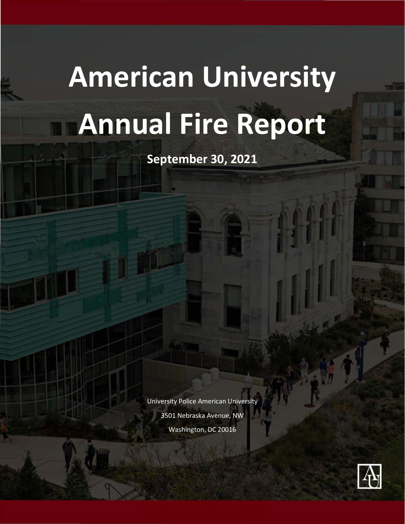# **American University Annual Fire Report**

**September 30, 2021**

University Police American University 3501 Nebraska Avenue, NW Washington, DC 20016

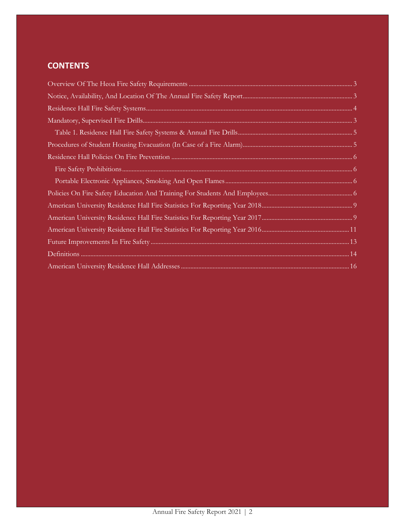# **CONTENTS**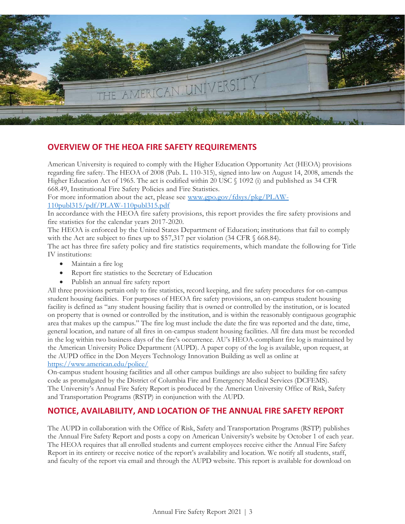

## <span id="page-2-0"></span>**OVERVIEW OF THE HEOA FIRE SAFETY REQUIREMENTS**

American University is required to comply with the Higher Education Opportunity Act (HEOA) provisions regarding fire safety. The HEOA of 2008 (Pub. L. 110-315), signed into law on August 14, 2008, amends the Higher Education Act of 1965. The act is codified within 20 USC § 1092 (i) and published as 34 CFR 668.49, Institutional Fire Safety Policies and Fire Statistics.

For more information about the act, please see [www.gpo.gov/fdsys/pkg/PLAW-](https://www.gpo.gov/fdsys/pkg/PLAW-110publ315/pdf/PLAW-110publ315.pdf)[110publ315/pdf/PLAW-110publ315.pdf](https://www.gpo.gov/fdsys/pkg/PLAW-110publ315/pdf/PLAW-110publ315.pdf)

In accordance with the HEOA fire safety provisions, this report provides the fire safety provisions and fire statistics for the calendar years 2017-2020.

The HEOA is enforced by the United States Department of Education; institutions that fail to comply with the Act are subject to fines up to \$57,317 per violation (34 CFR § 668.84).

The act has three fire safety policy and fire statistics requirements, which mandate the following for Title IV institutions:

- Maintain a fire log
- Report fire statistics to the Secretary of Education
- Publish an annual fire safety report

All three provisions pertain only to fire statistics, record keeping, and fire safety procedures for on-campus student housing facilities. For purposes of HEOA fire safety provisions, an on-campus student housing facility is defined as "any student housing facility that is owned or controlled by the institution, or is located on property that is owned or controlled by the institution, and is within the reasonably contiguous geographic area that makes up the campus." The fire log must include the date the fire was reported and the date, time, general location, and nature of all fires in on-campus student housing facilities. All fire data must be recorded in the log within two business days of the fire's occurrence. AU's HEOA-compliant fire log is maintained by the American University Police Department (AUPD). A paper copy of the log is available, upon request, at the AUPD office in the Don Meyers Technology Innovation Building as well as online at <https://www.american.edu/police/>

On-campus student housing facilities and all other campus buildings are also subject to building fire safety code as promulgated by the District of Columbia Fire and Emergency Medical Services (DCFEMS). The University's Annual Fire Safety Report is produced by the American University Office of Risk, Safety and Transportation Programs (RSTP) in conjunction with the AUPD.

## <span id="page-2-1"></span>**NOTICE, AVAILABILITY, AND LOCATION OF THE ANNUAL FIRE SAFETY REPORT**

The AUPD in collaboration with the Office of Risk, Safety and Transportation Programs (RSTP) publishes the Annual Fire Safety Report and posts a copy on American University's website by October 1 of each year. The HEOA requires that all enrolled students and current employees receive either the Annual Fire Safety Report in its entirety or receive notice of the report's availability and location. We notify all students, staff, and faculty of the report via email and through the AUPD website. This report is available for download on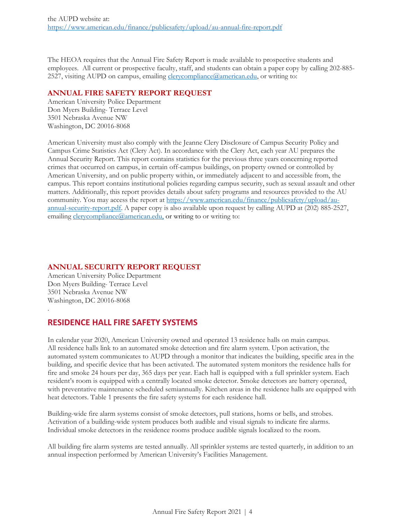The HEOA requires that the Annual Fire Safety Report is made available to prospective students and employees. All current or prospective faculty, staff, and students can obtain a paper copy by calling 202-885 2527, visiting AUPD on campus, emailin[g clerycompliance@american.edu,](mailto:clerycompliance@american.edu) or writing to:

#### **ANNUAL FIRE SAFETY REPORT REQUEST**

American University Police Department Don Myers Building- Terrace Level 3501 Nebraska Avenue NW Washington, DC 20016-8068

American University must also comply with the Jeanne Clery Disclosure of Campus Security Policy and Campus Crime Statistics Act (Clery Act). In accordance with the Clery Act, each year AU prepares the Annual Security Report. This report contains statistics for the previous three years concerning reported crimes that occurred on campus, in certain off-campus buildings, on property owned or controlled by American University, and on public property within, or immediately adjacent to and accessible from, the campus. This report contains institutional policies regarding campus security, such as sexual assault and other matters. Additionally, this report provides details about safety programs and resources provided to the AU community. You may access the report at [https://www.american.edu/finance/publicsafety/upload/au](https://www.american.edu/finance/publicsafety/upload/au-annual-security-report.pdf)[annual-security-report.pdf.](https://www.american.edu/finance/publicsafety/upload/au-annual-security-report.pdf) A paper copy is also available upon request by calling AUPD at (202) 885-2527, emailing [clerycompliance@american.edu,](mailto:clerycompliance@american.edu) or writing to or writing to:

#### **ANNUAL SECURITY REPORT REQUEST**

American University Police Department Don Myers Building- Terrace Level 3501 Nebraska Avenue NW Washington, DC 20016-8068

.

#### <span id="page-3-0"></span>**RESIDENCE HALL FIRE SAFETY SYSTEMS**

In calendar year 2020, American University owned and operated 13 residence halls on main campus. All residence halls link to an automated smoke detection and fire alarm system. Upon activation, the automated system communicates to AUPD through a monitor that indicates the building, specific area in the building, and specific device that has been activated. The automated system monitors the residence halls for fire and smoke 24 hours per day, 365 days per year. Each hall is equipped with a full sprinkler system. Each resident's room is equipped with a centrally located smoke detector. Smoke detectors are battery operated, with preventative maintenance scheduled semiannually. Kitchen areas in the residence halls are equipped with heat detectors. Table 1 presents the fire safety systems for each residence hall.

Building-wide fire alarm systems consist of smoke detectors, pull stations, horns or bells, and strobes. Activation of a building-wide system produces both audible and visual signals to indicate fire alarms. Individual smoke detectors in the residence rooms produce audible signals localized to the room.

All building fire alarm systems are tested annually. All sprinkler systems are tested quarterly, in addition to an annual inspection performed by American University's Facilities Management.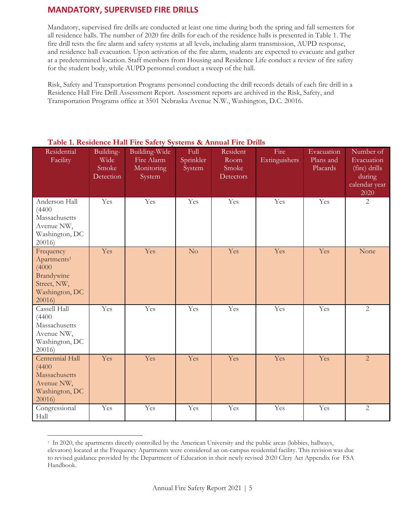## <span id="page-4-0"></span>**MANDATORY, SUPERVISED FIRE DRILLS**

Mandatory, supervised fire drills are conducted at least one time during both the spring and fall semesters for all residence halls. The number of 2020 fire drills for each of the residence halls is presented in Table 1. The fire drill tests the fire alarm and safety systems at all levels, including alarm transmission, AUPD response, and residence hall evacuation. Upon activation of the fire alarm, students are expected to evacuate and gather at a predetermined location. Staff members from Housing and Residence Life conduct a review of fire safety for the student body, while AUPD personnel conduct a sweep of the hall.

Risk, Safety and Transportation Programs personnel conducting the drill records details of each fire drill in a Residence Hall Fire Drill Assessment Report. Assessment reports are archived in the Risk, Safety, and Transportation Programs office at 3501 Nebraska Avenue N.W., Washington, D.C. 20016.

| Residential<br>Facility                                                                                        | Building-<br>Wide<br>Smoke<br>Detection | Building-Wide<br>Fire Alarm<br>Monitoring<br>System | Full<br>Sprinkler<br>System | Resident<br>Room<br>Smoke<br>Detectors | Fire<br>Extinguishers | Evacuation<br>Plans and<br>Placards | Number of<br>Evacuation<br>(fire) drills<br>during<br>calendar year<br>2020 |
|----------------------------------------------------------------------------------------------------------------|-----------------------------------------|-----------------------------------------------------|-----------------------------|----------------------------------------|-----------------------|-------------------------------------|-----------------------------------------------------------------------------|
| Anderson Hall<br>(4400)<br>Massachusetts<br>Avenue NW,<br>Washington, DC<br>20016                              | Yes                                     | Yes                                                 | Yes                         | Yes                                    | Yes                   | Yes                                 | $\overline{2}$                                                              |
| Frequency<br>Apartments <sup>1</sup><br>(4000)<br><b>Brandywine</b><br>Street, NW,<br>Washington, DC<br>20016) | Yes                                     | Yes                                                 | $\overline{\text{No}}$      | Yes                                    | Yes                   | Yes                                 | None                                                                        |
| Cassell Hall<br>(4400)<br>Massachusetts<br>Avenue NW,<br>Washington, DC<br>20016                               | Yes                                     | Yes                                                 | Yes                         | Yes                                    | Yes                   | Yes                                 | $\overline{2}$                                                              |
| Centennial Hall<br>(4400)<br>Massachusetts<br>Avenue NW,<br>Washington, DC<br>20016)                           | Yes                                     | Yes                                                 | Yes                         | Yes                                    | Yes                   | Yes                                 | $\overline{2}$                                                              |
| Congressional<br>Hall                                                                                          | Yes                                     | Yes                                                 | Yes                         | Yes                                    | Yes                   | Yes                                 | $\overline{2}$                                                              |

#### <span id="page-4-1"></span>**Table 1. Residence Hall Fire Safety Systems & Annual Fire Drills**

<sup>1</sup> In 2020, the apartments directly controlled by the American University and the public areas (lobbies, hallways, elevators) located at the Frequency Apartments were considered an on-campus residential facility. This revision was due to revised guidance provided by the Department of Education in their newly revised 2020 Clery Act Appendix for FSA Handbook.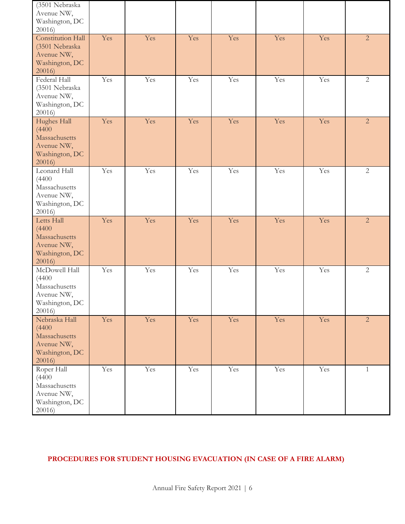| (3501 Nebraska<br>Avenue NW,<br>Washington, DC<br>20016)                           |     |     |     |     |     |     |                |
|------------------------------------------------------------------------------------|-----|-----|-----|-----|-----|-----|----------------|
| Constitution Hall<br>(3501 Nebraska<br>Avenue NW,<br>Washington, DC<br>20016)      | Yes | Yes | Yes | Yes | Yes | Yes | $\overline{2}$ |
| Federal Hall<br>(3501 Nebraska<br>Avenue NW,<br>Washington, DC<br>20016)           | Yes | Yes | Yes | Yes | Yes | Yes | $\mathbf{2}$   |
| Hughes Hall<br>(4400)<br>Massachusetts<br>Avenue NW,<br>Washington, DC<br>20016)   | Yes | Yes | Yes | Yes | Yes | Yes | $\overline{2}$ |
| Leonard Hall<br>(4400)<br>Massachusetts<br>Avenue NW,<br>Washington, DC<br>20016)  | Yes | Yes | Yes | Yes | Yes | Yes | $\overline{2}$ |
| Letts Hall<br>(4400)<br>Massachusetts<br>Avenue NW,<br>Washington, DC<br>20016)    | Yes | Yes | Yes | Yes | Yes | Yes | $\overline{2}$ |
| McDowell Hall<br>(4400)<br>Massachusetts<br>Avenue NW,<br>Washington, DC<br>20016) | Yes | Yes | Yes | Yes | Yes | Yes | $\overline{2}$ |
| Nebraska Hall<br>(4400)<br>Massachusetts<br>Avenue NW,<br>Washington, DC<br>20016) | Yes | Yes | Yes | Yes | Yes | Yes | $\overline{2}$ |
| Roper Hall<br>(4400)<br>Massachusetts<br>Avenue NW,<br>Washington, DC<br>20016)    | Yes | Yes | Yes | Yes | Yes | Yes | $\mathbf{1}$   |

## <span id="page-5-0"></span>**PROCEDURES FOR STUDENT HOUSING EVACUATION (IN CASE OF A FIRE ALARM)**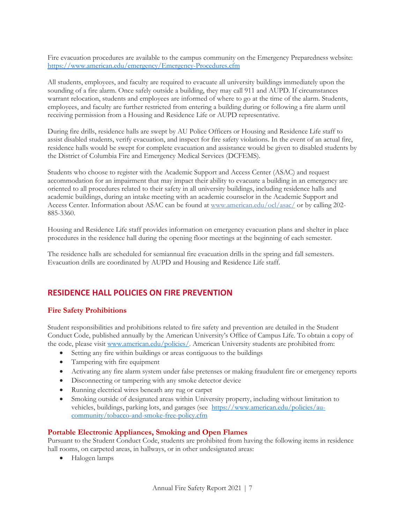Fire evacuation procedures are available to the campus community on the Emergency Preparedness website: <https://www.american.edu/emergency/Emergency-Procedures.cfm>

All students, employees, and faculty are required to evacuate all university buildings immediately upon the sounding of a fire alarm. Once safely outside a building, they may call 911 and AUPD. If circumstances warrant relocation, students and employees are informed of where to go at the time of the alarm. Students, employees, and faculty are further restricted from entering a building during or following a fire alarm until receiving permission from a Housing and Residence Life or AUPD representative.

During fire drills, residence halls are swept by AU Police Officers or Housing and Residence Life staff to assist disabled students, verify evacuation, and inspect for fire safety violations. In the event of an actual fire, residence halls would be swept for complete evacuation and assistance would be given to disabled students by the District of Columbia Fire and Emergency Medical Services (DCFEMS).

Students who choose to register with the Academic Support and Access Center (ASAC) and request accommodation for an impairment that may impact their ability to evacuate a building in an emergency are oriented to all procedures related to their safety in all university buildings, including residence halls and academic buildings, during an intake meeting with an academic counselor in the Academic Support and Access Center. Information about ASAC can be found at [www.american.edu/ocl/asac/](http://www.american.edu/ocl/asac/) or by calling 202-885-3360.

Housing and Residence Life staff provides information on emergency evacuation plans and shelter in place procedures in the residence hall during the opening floor meetings at the beginning of each semester.

The residence halls are scheduled for semiannual fire evacuation drills in the spring and fall semesters. Evacuation drills are coordinated by AUPD and Housing and Residence Life staff.

## **RESIDENCE HALL POLICIES ON FIRE PREVENTION**

#### <span id="page-6-0"></span>**Fire Safety Prohibitions**

Student responsibilities and prohibitions related to fire safety and prevention are detailed in the Student Conduct Code, published annually by the American University's Office of Campus Life. To obtain a copy of the code, please visit [www.american.edu/policies/.](http://www.american.edu/policies/) American University students are prohibited from:

- Setting any fire within buildings or areas contiguous to the buildings
- Tampering with fire equipment
- Activating any fire alarm system under false pretenses or making fraudulent fire or emergency reports
- Disconnecting or tampering with any smoke detector device
- Running electrical wires beneath any rug or carpet
- Smoking outside of designated areas within University property, including without limitation to vehicles, buildings, parking lots, and garages (see [https://www.american.edu/policies/au](https://www.american.edu/policies/au-community/tobacco-and-smoke-free-policy.cfm)[community/tobacco-and-smoke-free-policy.cfm](https://www.american.edu/policies/au-community/tobacco-and-smoke-free-policy.cfm)

#### <span id="page-6-1"></span>**Portable Electronic Appliances, Smoking and Open Flames**

Pursuant to the Student Conduct Code, students are prohibited from having the following items in residence hall rooms, on carpeted areas, in hallways, or in other undesignated areas:

• Halogen lamps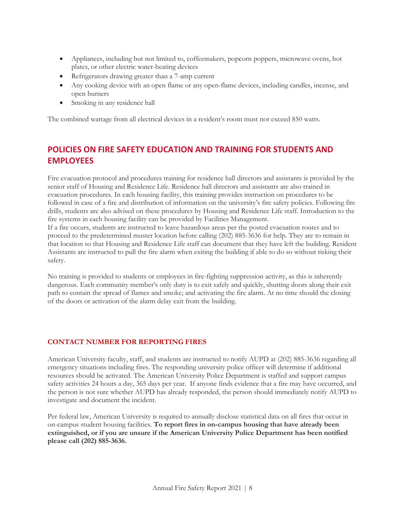- Appliances, including but not limited to, coffeemakers, popcorn poppers, microwave ovens, hot plates, or other electric water-heating devices
- Refrigerators drawing greater than a 7-amp current
- Any cooking device with an open flame or any open-flame devices, including candles, incense, and open burners
- Smoking in any residence hall

The combined wattage from all electrical devices in a resident's room must not exceed 850 watts.

# <span id="page-7-0"></span>**POLICIES ON FIRE SAFETY EDUCATION AND TRAINING FOR STUDENTS AND EMPLOYEES**

Fire evacuation protocol and procedures training for residence hall directors and assistants is provided by the senior staff of Housing and Residence Life. Residence hall directors and assistants are also trained in evacuation procedures. In each housing facility, this training provides instruction on procedures to be followed in case of a fire and distribution of information on the university's fire safety policies. Following fire drills, students are also advised on these procedures by Housing and Residence Life staff. Introduction to the fire systems in each housing facility can be provided by Facilities Management.

If a fire occurs, students are instructed to leave hazardous areas per the posted evacuation routes and to proceed to the predetermined muster location before calling (202) 885-3636 for help. They are to remain in that location so that Housing and Residence Life staff can document that they have left the building. Resident Assistants are instructed to pull the fire alarm when exiting the building if able to do so without risking their safety.

No training is provided to students or employees in fire-fighting suppression activity, as this is inherently dangerous. Each community member's only duty is to exit safely and quickly, shutting doors along their exit path to contain the spread of flames and smoke; and activating the fire alarm. At no time should the closing of the doors or activation of the alarm delay exit from the building.

#### **CONTACT NUMBER FOR REPORTING FIRES**

American University faculty, staff, and students are instructed to notify AUPD at (202) 885-3636 regarding all emergency situations including fires. The responding university police officer will determine if additional resources should be activated. The American University Police Department is staffed and support campus safety activities 24 hours a day, 365 days per year. If anyone finds evidence that a fire may have occurred, and the person is not sure whether AUPD has already responded, the person should immediately notify AUPD to investigate and document the incident.

Per federal law, American University is required to annually disclose statistical data on all fires that occur in on-campus student housing facilities. **To report fires in on-campus housing that have already been extinguished, or if you are unsure if the American University Police Department has been notified please call (202) 885-3636.**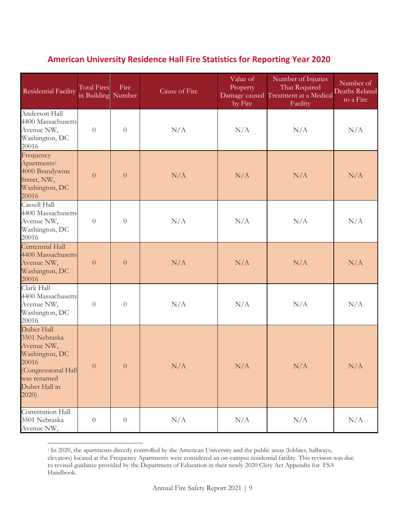# **American University Residence Hall Fire Statistics for Reporting Year 2020**

<span id="page-8-0"></span>

| <b>Residential Facility</b>                                                                                                          | <b>Total Fires</b><br>in Building Number | Fire           | Cause of Fire | Value of<br>Property<br>by Fire | Number of Injuries<br>That Required<br>Damage caused Treatment at a Medical<br>Facility | Number of<br><b>Deaths Related</b><br>to a Fire |
|--------------------------------------------------------------------------------------------------------------------------------------|------------------------------------------|----------------|---------------|---------------------------------|-----------------------------------------------------------------------------------------|-------------------------------------------------|
| Anderson Hall<br>4400 Massachusetts<br>Avenue NW,<br>Washington, DC<br>20016                                                         | $\theta$                                 | $\overline{0}$ | N/A           | N/A                             | N/A                                                                                     | N/A                                             |
| Frequency<br>Apartments <sup>2</sup><br>4000 Brandywine<br>Street, NW,<br>Washington, DC<br>20016                                    | $\overline{0}$                           | $\overline{0}$ | N/A           | N/A                             | N/A                                                                                     | N/A                                             |
| Cassell Hall<br>4400 Massachusetts<br>Avenue NW,<br>Washington, DC<br>20016                                                          | $\overline{0}$                           | $\theta$       | N/A           | N/A                             | N/A                                                                                     | N/A                                             |
| Centennial Hall<br>4400 Massachusetts<br>Avenue NW,<br>Washington, DC<br>20016                                                       | $\theta$                                 | $\overline{0}$ | N/A           | N/A                             | N/A                                                                                     | N/A                                             |
| Clark Hall<br>4400 Massachusetts<br>Avenue NW,<br>Washington, DC<br>20016                                                            | $\theta$                                 | $\overline{0}$ | N/A           | N/A                             | N/A                                                                                     | N/A                                             |
| Duber Hall<br>3501 Nebraska<br>Avenue NW,<br>Washington, DC<br>20016<br>(Congressional Hall<br>was renamed<br>Duber Hall in<br>2020) | $\boldsymbol{0}$                         | $\theta$       | N/A           | N/A                             | N/A                                                                                     | N/A                                             |
| Constitution Hall<br>3501 Nebraska<br>Avenue NW,                                                                                     | $\boldsymbol{0}$                         | $\overline{0}$ | N/A           | N/A                             | N/A                                                                                     | N/A                                             |

<sup>&</sup>lt;sup>2</sup> In 2020, the apartments directly controlled by the American University and the public areas (lobbies, hallways, elevators) located at the Frequency Apartments were considered an on-campus residential facility. This revision was due to revised guidance provided by the Department of Education in their newly 2020 Clery Act Appendix for FSA Handbook.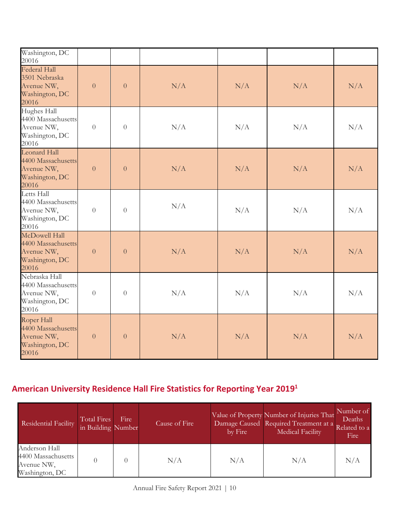| Washington, DC<br>20016                                                       |                |                |     |     |     |     |
|-------------------------------------------------------------------------------|----------------|----------------|-----|-----|-----|-----|
| <b>Federal Hall</b><br>3501 Nebraska<br>Avenue NW,<br>Washington, DC<br>20016 | $\overline{0}$ | $\overline{0}$ | N/A | N/A | N/A | N/A |
| Hughes Hall<br>4400 Massachusetts<br>Avenue NW,<br>Washington, DC<br>20016    | $\overline{0}$ | $\theta$       | N/A | N/A | N/A | N/A |
| Leonard Hall<br>4400 Massachusetts<br>Avenue NW,<br>Washington, DC<br>20016   | $\overline{0}$ | $\overline{0}$ | N/A | N/A | N/A | N/A |
| Letts Hall<br>4400 Massachusetts<br>Avenue NW,<br>Washington, DC<br>20016     | $\overline{0}$ | $\theta$       | N/A | N/A | N/A | N/A |
| McDowell Hall<br>4400 Massachusetts<br>Avenue NW,<br>Washington, DC<br>20016  | $\overline{0}$ | $\theta$       | N/A | N/A | N/A | N/A |
| Nebraska Hall<br>4400 Massachusetts<br>Avenue NW,<br>Washington, DC<br>20016  | $\overline{0}$ | $\theta$       | N/A | N/A | N/A | N/A |
| Roper Hall<br>4400 Massachusetts<br>Avenue NW,<br>Washington, DC<br>20016     | $\overline{0}$ | $\theta$       | N/A | N/A | N/A | N/A |

# **American University Residence Hall Fire Statistics for Reporting Year 2019 1**

| Residential Facility                                                | Total Fires<br>in Building Number | Fire | Cause of Fire | by Fire | Value of Property Number of Injuries That<br>Damage Caused Required Treatment at a<br><b>Medical Facility</b> | Number of<br>Deaths<br>Related to a<br>Fire |
|---------------------------------------------------------------------|-----------------------------------|------|---------------|---------|---------------------------------------------------------------------------------------------------------------|---------------------------------------------|
| Anderson Hall<br>4400 Massachusetts<br>Avenue NW,<br>Washington, DC |                                   |      | N/A           | N/A     | N/A                                                                                                           | N/A                                         |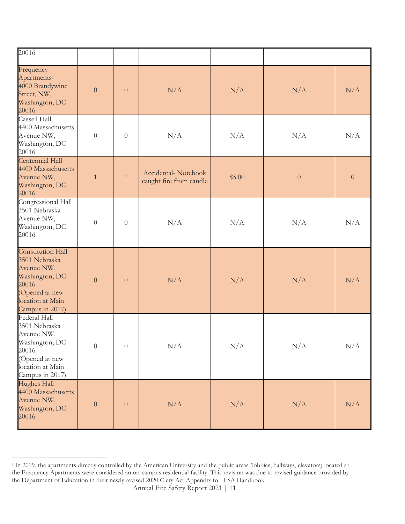| 20016                                                                                                                                |                  |                  |                                                |           |                  |                |
|--------------------------------------------------------------------------------------------------------------------------------------|------------------|------------------|------------------------------------------------|-----------|------------------|----------------|
| Frequency<br>Apartments <sup>3</sup><br>4000 Brandywine<br>Street, NW,<br>Washington, DC<br>20016                                    | $\overline{0}$   | $\overline{0}$   | N/A                                            | N/A       | N/A              | N/A            |
| Cassell Hall<br>4400 Massachusetts<br>Avenue NW,<br>Washington, DC<br>20016                                                          | $\boldsymbol{0}$ | $\overline{0}$   | N/A                                            | N/A       | N/A              | N/A            |
| Centennial Hall<br>4400 Massachusetts<br>Avenue NW,<br>Washington, DC<br>20016                                                       | $\mathbf{1}$     | $\mathbf{1}$     | Accidental-Notebook<br>caught fire from candle | \$5.00    | $\boldsymbol{0}$ | $\overline{0}$ |
| Congressional Hall<br>3501 Nebraska<br>Avenue NW,<br>Washington, DC<br>20016                                                         | $\theta$         | $\theta$         | N/A                                            | N/A       | N/A              | N/A            |
| Constitution Hall<br>3501 Nebraska<br>Avenue NW,<br>Washington, DC<br>20016<br>(Opened at new<br>location at Main<br>Campus in 2017) | $\overline{0}$   | $\overline{0}$   | N/A                                            | N/A       | N/A              | N/A            |
| Federal Hall<br>3501 Nebraska<br>Avenue NW,<br>Washington, DC<br>20016<br>(Opened at new<br>location at Main<br>Campus in 2017)      | $\theta$         | $\overline{0}$   | N/A                                            | $\rm N/A$ | N/A              | N/A            |
| Hughes Hall<br>4400 Massachusetts<br>Avenue NW,<br>Washington, DC<br>20016                                                           | $\boldsymbol{0}$ | $\boldsymbol{0}$ | N/A                                            | N/A       | N/A              | N/A            |

<sup>&</sup>lt;sup>3</sup> In 2019, the apartments directly controlled by the American University and the public areas (lobbies, hallways, elevators) located at the Frequency Apartments were considered an on-campus residential facility. This revision was due to revised guidance provided by the Department of Education in their newly revised 2020 Clery Act Appendix for FSA Handbook.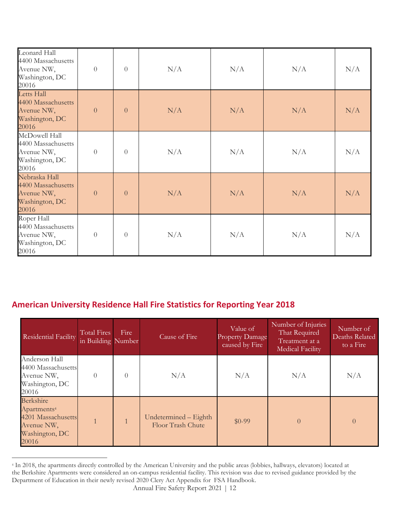| Leonard Hall<br>4400 Massachusetts<br>Avenue NW,<br>Washington, DC<br>20016  | $\boldsymbol{0}$ | $\overline{0}$ | N/A | N/A | N/A | N/A |
|------------------------------------------------------------------------------|------------------|----------------|-----|-----|-----|-----|
| Letts Hall<br>4400 Massachusetts<br>Avenue NW,<br>Washington, DC<br>20016    | $\overline{0}$   | $\overline{0}$ | N/A | N/A | N/A | N/A |
| McDowell Hall<br>4400 Massachusetts<br>Avenue NW,<br>Washington, DC<br>20016 | $\theta$         | $\overline{0}$ | N/A | N/A | N/A | N/A |
| Nebraska Hall<br>4400 Massachusetts<br>Avenue NW,<br>Washington, DC<br>20016 | $\overline{0}$   | $\overline{0}$ | N/A | N/A | N/A | N/A |
| Roper Hall<br>4400 Massachusetts<br>Avenue NW,<br>Washington, DC<br>20016    | $\theta$         | $\overline{0}$ | N/A | N/A | N/A | N/A |

# **American University Residence Hall Fire Statistics for Reporting Year 2018**

| Residential Facility                                                                                | <b>Total Fires</b><br>in Building Number | Fire         | Cause of Fire                              | Value of<br><b>Property Damage</b><br>caused by Fire | Number of Injuries<br>That Required<br>Treatment at a<br><b>Medical Facility</b> | Number of<br>Deaths Related<br>to a Fire |
|-----------------------------------------------------------------------------------------------------|------------------------------------------|--------------|--------------------------------------------|------------------------------------------------------|----------------------------------------------------------------------------------|------------------------------------------|
| Anderson Hall<br>4400 Massachusetts<br>Avenue NW,<br>Washington, DC<br>20016                        | $\Omega$                                 | $\Omega$     | N/A                                        | N/A                                                  | N/A                                                                              | N/A                                      |
| Berkshire<br>Apartments <sup>4</sup><br>4201 Massachusetts<br>Avenue NW,<br>Washington, DC<br>20016 |                                          | $\mathbf{1}$ | Undetermined – Eighth<br>Floor Trash Chute | $$0-99$                                              | $\theta$                                                                         | $\Omega$                                 |

<sup>4</sup> In 2018, the apartments directly controlled by the American University and the public areas (lobbies, hallways, elevators) located at the Berkshire Apartments were considered an on-campus residential facility. This revision was due to revised guidance provided by the Department of Education in their newly revised 2020 Clery Act Appendix for FSA Handbook.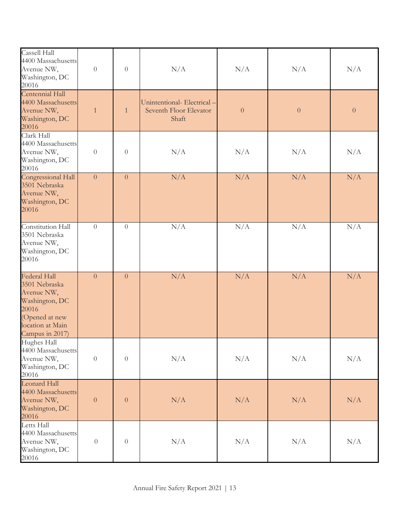| Cassell Hall<br>4400 Massachusetts<br>Avenue NW,<br>Washington, DC<br>20016                                                     | $\boldsymbol{0}$ | $\sqrt{a}$       | N/A                                                          | N/A              | N/A              | N/A              |
|---------------------------------------------------------------------------------------------------------------------------------|------------------|------------------|--------------------------------------------------------------|------------------|------------------|------------------|
| Centennial Hall<br>4400 Massachusetts<br>Avenue NW,<br>Washington, DC<br>20016                                                  | $\mathbf{1}$     | $\mathbf{1}$     | Unintentional-Electrical-<br>Seventh Floor Elevator<br>Shaft | $\boldsymbol{0}$ | $\boldsymbol{0}$ | $\boldsymbol{0}$ |
| Clark Hall<br>4400 Massachusetts<br>Avenue NW,<br>Washington, DC<br>20016                                                       | $\boldsymbol{0}$ | $\sqrt{a}$       | N/A                                                          | N/A              | N/A              | N/A              |
| Congressional Hall<br>3501 Nebraska<br>Avenue NW,<br>Washington, DC<br>20016                                                    | $\overline{0}$   | $\overline{0}$   | N/A                                                          | N/A              | N/A              | N/A              |
| Constitution Hall<br>3501 Nebraska<br>Avenue NW,<br>Washington, DC<br>20016                                                     | $\boldsymbol{0}$ | $\boldsymbol{0}$ | N/A                                                          | N/A              | N/A              | N/A              |
| Federal Hall<br>3501 Nebraska<br>Avenue NW,<br>Washington, DC<br>20016<br>(Opened at new<br>location at Main<br>Campus in 2017) | $\overline{0}$   | $\overline{0}$   | N/A                                                          | N/A              | N/A              | N/A              |
| Hughes Hall<br>4400 Massachusetts<br>Avenue NW,<br>Washington, DC<br>20016                                                      | $\boldsymbol{0}$ | $\boldsymbol{0}$ | N/A                                                          | N/A              | N/A              | N/A              |
| <b>Leonard Hall</b><br>4400 Massachusetts<br>Avenue NW,<br>Washington, DC<br>20016                                              | $\boldsymbol{0}$ | $\boldsymbol{0}$ | N/A                                                          | N/A              | N/A              | N/A              |
| Letts Hall<br>4400 Massachusetts<br>Avenue NW,<br>Washington, DC<br>20016                                                       | $\boldsymbol{0}$ | $\boldsymbol{0}$ | N/A                                                          | N/A              | N/A              | N/A              |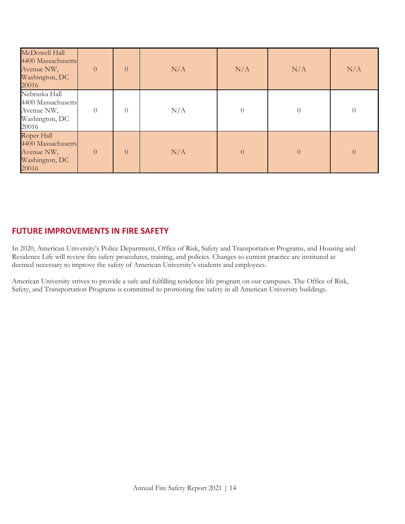| McDowell Hall<br>4400 Massachusetts<br>Avenue NW,<br>Washington, DC<br>20016 | $\overline{0}$ | $\overline{0}$ | N/A | N/A              | N/A            | N/A            |
|------------------------------------------------------------------------------|----------------|----------------|-----|------------------|----------------|----------------|
| Nebraska Hall<br>4400 Massachusetts<br>Avenue NW,<br>Washington, DC<br>20016 | $\Omega$       | $\theta$       | N/A | $\boldsymbol{0}$ | $\theta$       | $\theta$       |
| Roper Hall<br>4400 Massachusetts<br>Avenue NW,<br>Washington, DC<br>20016    | $\Omega$       | $\overline{0}$ | N/A | $\theta$         | $\overline{0}$ | $\overline{0}$ |

## <span id="page-13-0"></span>**FUTURE IMPROVEMENTS IN FIRE SAFETY**

In 2020, American University's Police Department, Office of Risk, Safety and Transportation Programs, and Housing and Residence Life will review fire safety procedures, training, and policies. Changes to current practice are instituted as deemed necessary to improve the safety of American University's students and employees.

American University strives to provide a safe and fulfilling residence life program on our campuses. The Office of Risk, Safety, and Transportation Programs is committed to promoting fire safety in all American University buildings.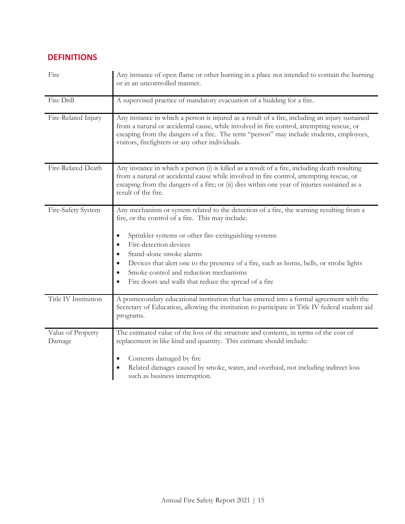# <span id="page-14-0"></span>**DEFINITIONS**

| Fire                        | Any instance of open flame or other burning in a place not intended to contain the burning<br>or in an uncontrolled manner.                                                                                                                                                                                                                                                                                                                                                                                                               |
|-----------------------------|-------------------------------------------------------------------------------------------------------------------------------------------------------------------------------------------------------------------------------------------------------------------------------------------------------------------------------------------------------------------------------------------------------------------------------------------------------------------------------------------------------------------------------------------|
| Fire Drill                  | A supervised practice of mandatory evacuation of a building for a fire.                                                                                                                                                                                                                                                                                                                                                                                                                                                                   |
| Fire-Related Injury         | Any instance in which a person is injured as a result of a fire, including an injury sustained<br>from a natural or accidental cause, while involved in fire control, attempting rescue, or<br>escaping from the dangers of a fire. The term "person" may include students, employees,<br>visitors, firefighters or any other individuals.                                                                                                                                                                                                |
| Fire-Related Death          | Any instance in which a person (i) is killed as a result of a fire, including death resulting<br>from a natural or accidental cause while involved in fire control, attempting rescue, or<br>escaping from the dangers of a fire; or (ii) dies within one year of injuries sustained as a<br>result of the fire.                                                                                                                                                                                                                          |
| Fire-Safety System          | Any mechanism or system related to the detection of a fire, the warning resulting from a<br>fire, or the control of a fire. This may include:<br>Sprinkler systems or other fire-extinguishing systems<br>$\bullet$<br>Fire-detection devices<br>$\bullet$<br>Stand-alone smoke alarms<br>$\bullet$<br>Devices that alert one to the presence of a fire, such as horns, bells, or strobe lights<br>$\bullet$<br>Smoke control and reduction mechanisms<br>$\bullet$<br>Fire doors and walls that reduce the spread of a fire<br>$\bullet$ |
| Title IV Institution        | A postsecondary educational institution that has entered into a formal agreement with the<br>Secretary of Education, allowing the institution to participate in Title IV federal student aid<br>programs.                                                                                                                                                                                                                                                                                                                                 |
| Value of Property<br>Damage | The estimated value of the loss of the structure and contents, in terms of the cost of<br>replacement in like kind and quantity. This estimate should include:<br>Contents damaged by fire<br>$\bullet$<br>Related damages caused by smoke, water, and overhaul, not including indirect loss<br>such as business interruption.                                                                                                                                                                                                            |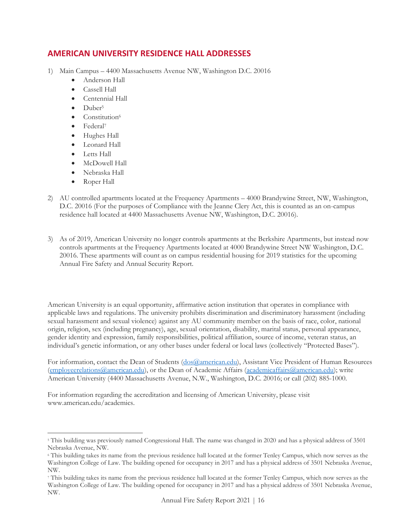## <span id="page-15-0"></span>**AMERICAN UNIVERSITY RESIDENCE HALL ADDRESSES**

- 1) Main Campus 4400 Massachusetts Avenue NW, Washington D.C. 20016
	- Anderson Hall
	- Cassell Hall
	- Centennial Hall
	- $\bullet$  Duber<sup>5</sup>
	- Constitution<sup>6</sup>
	- Federal<sup>7</sup>
	- Hughes Hall
	- Leonard Hall
	- Letts Hall
	- McDowell Hall
	- Nebraska Hall
	- Roper Hall
- 2) AU controlled apartments located at the Frequency Apartments 4000 Brandywine Street, NW, Washington, D.C. 20016 (For the purposes of Compliance with the Jeanne Clery Act, this is counted as an on-campus residence hall located at 4400 Massachusetts Avenue NW, Washington, D.C. 20016).
- 3) As of 2019, American University no longer controls apartments at the Berkshire Apartments, but instead now controls apartments at the Frequency Apartments located at 4000 Brandywine Street NW Washington, D.C. 20016. These apartments will count as on campus residential housing for 2019 statistics for the upcoming Annual Fire Safety and Annual Security Report.

American University is an equal opportunity, affirmative action institution that operates in compliance with applicable laws and regulations. The university prohibits discrimination and discriminatory harassment (including sexual harassment and sexual violence) against any AU community member on the basis of race, color, national origin, religion, sex (including pregnancy), age, sexual orientation, disability, marital status, personal appearance, gender identity and expression, family responsibilities, political affiliation, source of income, veteran status, an individual's genetic information, or any other bases under federal or local laws (collectively "Protected Bases").

For information, contact the Dean of Students [\(dos@american.edu\)](mailto:dos@american.edu), Assistant Vice President of Human Resources [\(employeerelations@american.edu\)](mailto:employeerelations@american.edu), or the Dean of Academic Affairs [\(academicaffairs@american.edu\)](mailto:academicaffairs@american.edu); write American University (4400 Massachusetts Avenue, N.W., Washington, D.C. 20016; or call (202) 885-1000.

For information regarding the accreditation and licensing of American University, please visit www.american.edu/academics.

<sup>&</sup>lt;sup>5</sup> This building was previously named Congressional Hall. The name was changed in 2020 and has a physical address of 3501 Nebraska Avenue, NW.

<sup>6</sup> This building takes its name from the previous residence hall located at the former Tenley Campus, which now serves as the Washington College of Law. The building opened for occupancy in 2017 and has a physical address of 3501 Nebraska Avenue, NW.

<sup>7</sup> This building takes its name from the previous residence hall located at the former Tenley Campus, which now serves as the Washington College of Law. The building opened for occupancy in 2017 and has a physical address of 3501 Nebraska Avenue, NW.